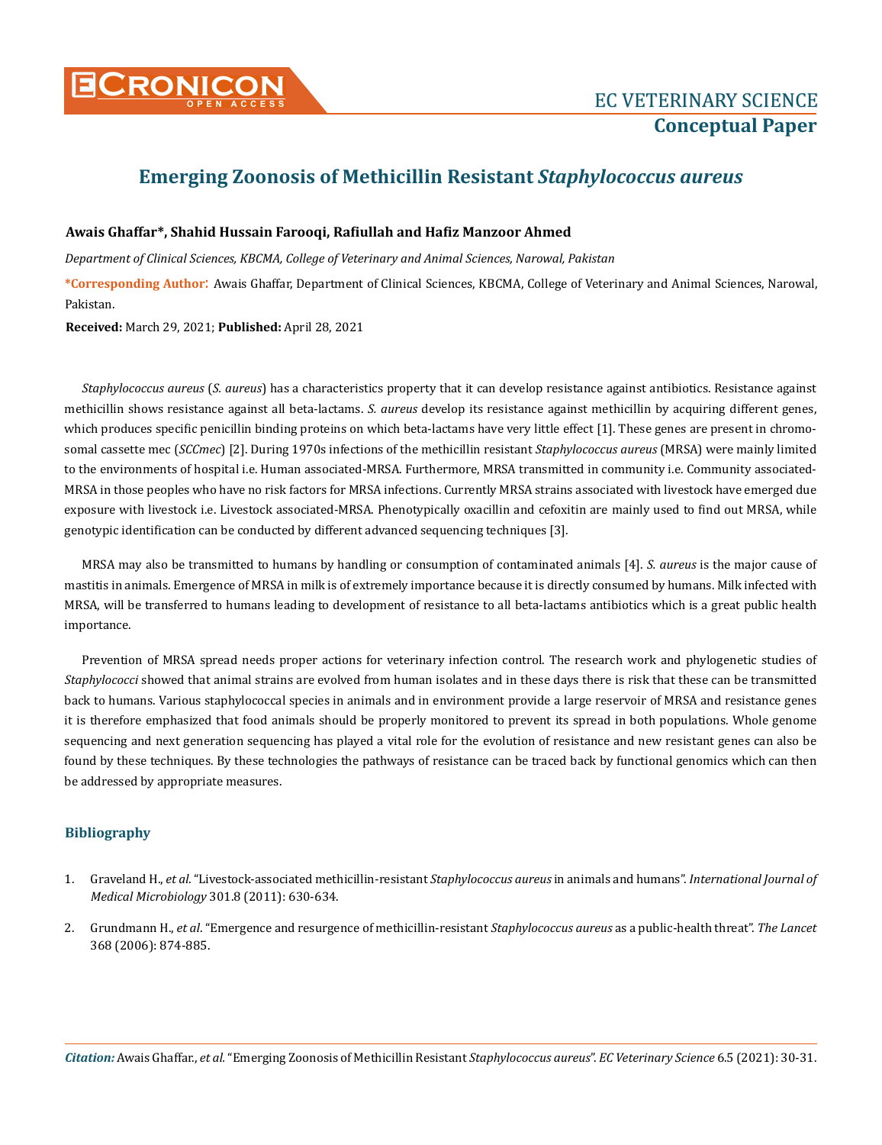

## **Emerging Zoonosis of Methicillin Resistant** *Staphylococcus aureus*

## **Awais Ghaffar\*, Shahid Hussain Farooqi, Rafiullah and Hafiz Manzoor Ahmed**

*Department of Clinical Sciences, KBCMA, College of Veterinary and Animal Sciences, Narowal, Pakistan*

**\*Corresponding Author**: Awais Ghaffar, Department of Clinical Sciences, KBCMA, College of Veterinary and Animal Sciences, Narowal, Pakistan.

**Received:** March 29, 2021; **Published:** April 28, 2021

*Staphylococcus aureus* (*S. aureus*) has a characteristics property that it can develop resistance against antibiotics. Resistance against methicillin shows resistance against all beta-lactams. *S. aureus* develop its resistance against methicillin by acquiring different genes, which produces specific penicillin binding proteins on which beta-lactams have very little effect [1]. These genes are present in chromosomal cassette mec (*SCCmec*) [2]. During 1970s infections of the methicillin resistant *Staphylococcus aureus* (MRSA) were mainly limited to the environments of hospital i.e. Human associated-MRSA. Furthermore, MRSA transmitted in community i.e. Community associated-MRSA in those peoples who have no risk factors for MRSA infections. Currently MRSA strains associated with livestock have emerged due exposure with livestock i.e. Livestock associated-MRSA. Phenotypically oxacillin and cefoxitin are mainly used to find out MRSA, while genotypic identification can be conducted by different advanced sequencing techniques [3].

MRSA may also be transmitted to humans by handling or consumption of contaminated animals [4]. *S. aureus* is the major cause of mastitis in animals. Emergence of MRSA in milk is of extremely importance because it is directly consumed by humans. Milk infected with MRSA, will be transferred to humans leading to development of resistance to all beta-lactams antibiotics which is a great public health importance.

Prevention of MRSA spread needs proper actions for veterinary infection control. The research work and phylogenetic studies of *Staphylococci* showed that animal strains are evolved from human isolates and in these days there is risk that these can be transmitted back to humans. Various staphylococcal species in animals and in environment provide a large reservoir of MRSA and resistance genes it is therefore emphasized that food animals should be properly monitored to prevent its spread in both populations. Whole genome sequencing and next generation sequencing has played a vital role for the evolution of resistance and new resistant genes can also be found by these techniques. By these technologies the pathways of resistance can be traced back by functional genomics which can then be addressed by appropriate measures.

## **Bibliography**

- 1. Graveland H., *et al*[. "Livestock-associated methicillin-resistant](https://pubmed.ncbi.nlm.nih.gov/21983338/) *Staphylococcus aureus* in animals and humans". *International Journal of Medical Microbiology* [301.8 \(2011\): 630-634.](https://pubmed.ncbi.nlm.nih.gov/21983338/)
- 2. Grundmann H., *et al*[. "Emergence and resurgence of methicillin-resistant](https://pubmed.ncbi.nlm.nih.gov/16950365/) *Staphylococcus aureus* as a public-health threat". *The Lancet* [368 \(2006\): 874-885.](https://pubmed.ncbi.nlm.nih.gov/16950365/)

*Citation:* Awais Ghaffar., *et al.* "Emerging Zoonosis of Methicillin Resistant *Staphylococcus aureus*". *EC Veterinary Science* 6.5 (2021): 30-31.